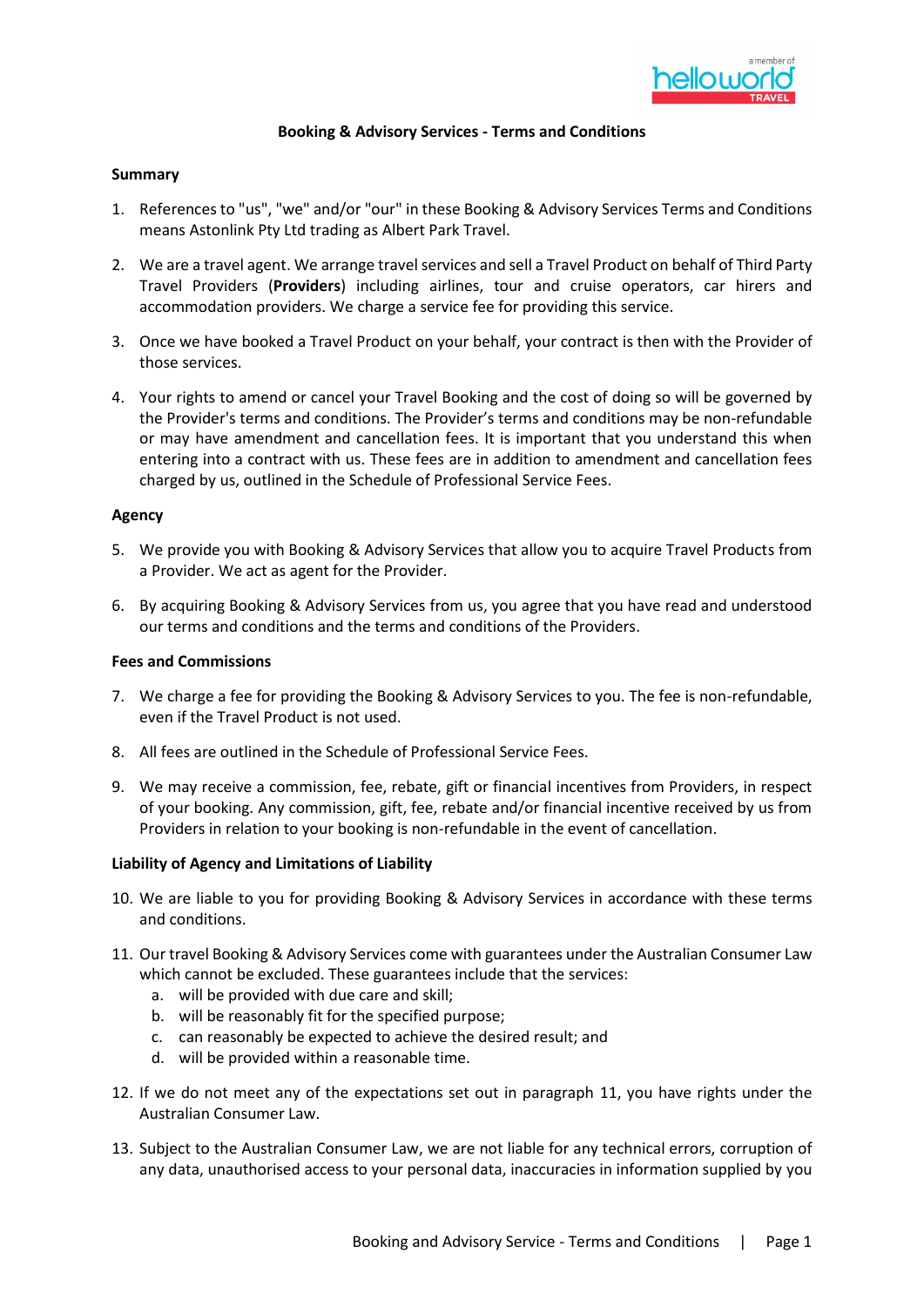

### **Booking & Advisory Services - Terms and Conditions**

## **Summary**

- 1. References to "us", "we" and/or "our" in these Booking & Advisory Services Terms and Conditions means Astonlink Pty Ltd trading as Albert Park Travel.
- 2. We are a travel agent. We arrange travel services and sell a Travel Product on behalf of Third Party Travel Providers (**Providers**) including airlines, tour and cruise operators, car hirers and accommodation providers. We charge a service fee for providing this service.
- 3. Once we have booked a Travel Product on your behalf, your contract is then with the Provider of those services.
- 4. Your rights to amend or cancel your Travel Booking and the cost of doing so will be governed by the Provider's terms and conditions. The Provider's terms and conditions may be non-refundable or may have amendment and cancellation fees. It is important that you understand this when entering into a contract with us. These fees are in addition to amendment and cancellation fees charged by us, outlined in the Schedule of Professional Service Fees.

### **Agency**

- 5. We provide you with Booking & Advisory Services that allow you to acquire Travel Products from a Provider. We act as agent for the Provider.
- 6. By acquiring Booking & Advisory Services from us, you agree that you have read and understood our terms and conditions and the terms and conditions of the Providers.

### **Fees and Commissions**

- 7. We charge a fee for providing the Booking & Advisory Services to you. The fee is non-refundable, even if the Travel Product is not used.
- 8. All fees are outlined in the Schedule of Professional Service Fees.
- 9. We may receive a commission, fee, rebate, gift or financial incentives from Providers, in respect of your booking. Any commission, gift, fee, rebate and/or financial incentive received by us from Providers in relation to your booking is non-refundable in the event of cancellation.

## **Liability of Agency and Limitations of Liability**

- 10. We are liable to you for providing Booking & Advisory Services in accordance with these terms and conditions.
- <span id="page-0-0"></span>11. Our travel Booking & Advisory Services come with guarantees under the Australian Consumer Law which cannot be excluded. These guarantees include that the services:
	- a. will be provided with due care and skill;
	- b. will be reasonably fit for the specified purpose;
	- c. can reasonably be expected to achieve the desired result; and
	- d. will be provided within a reasonable time.
- 12. If we do not meet any of the expectations set out in paragraph [11,](#page-0-0) you have rights under the Australian Consumer Law.
- 13. Subject to the Australian Consumer Law, we are not liable for any technical errors, corruption of any data, unauthorised access to your personal data, inaccuracies in information supplied by you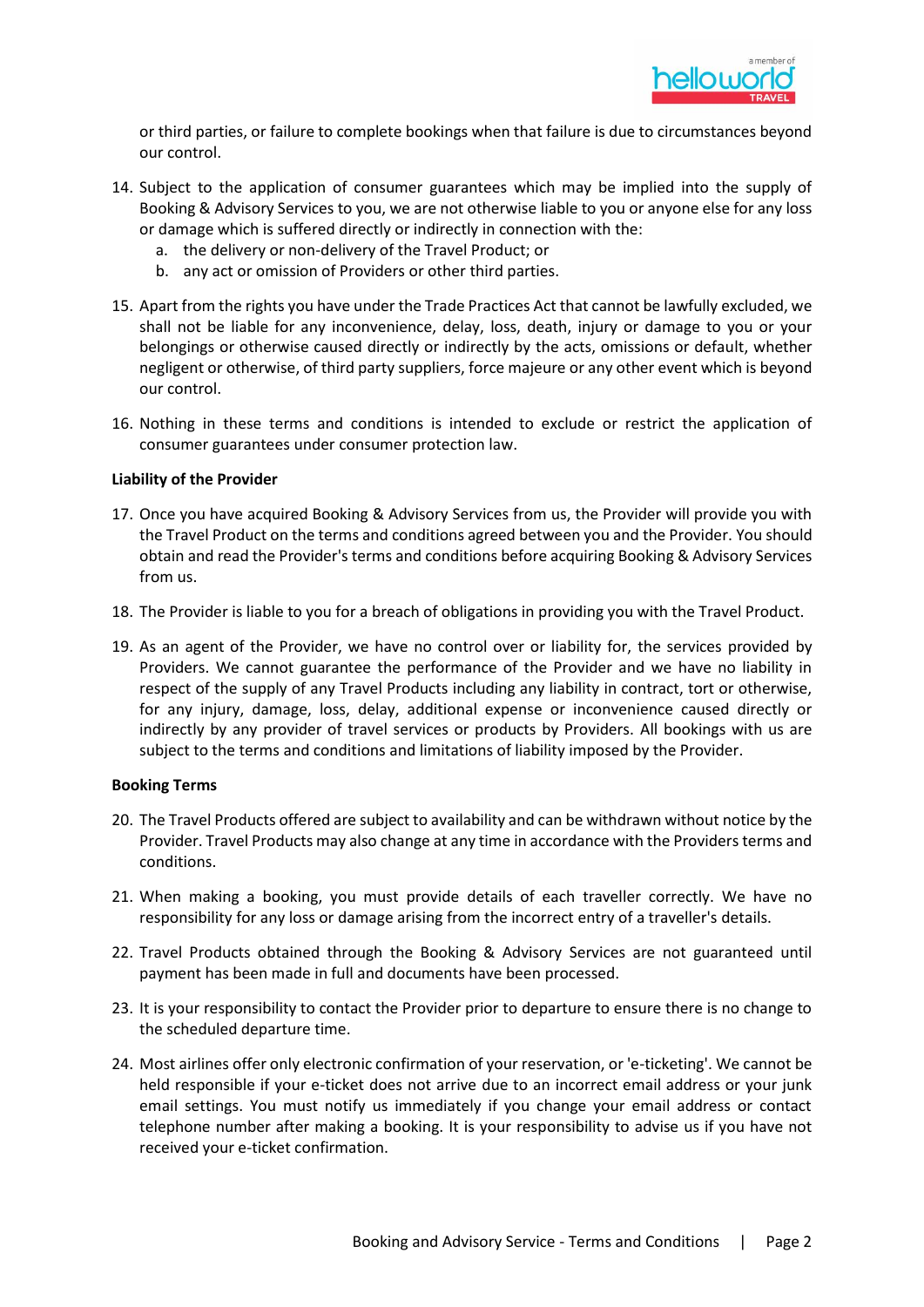

or third parties, or failure to complete bookings when that failure is due to circumstances beyond our control.

- 14. Subject to the application of consumer guarantees which may be implied into the supply of Booking & Advisory Services to you, we are not otherwise liable to you or anyone else for any loss or damage which is suffered directly or indirectly in connection with the:
	- a. the delivery or non-delivery of the Travel Product; or
	- b. any act or omission of Providers or other third parties.
- 15. Apart from the rights you have under the Trade Practices Act that cannot be lawfully excluded, we shall not be liable for any inconvenience, delay, loss, death, injury or damage to you or your belongings or otherwise caused directly or indirectly by the acts, omissions or default, whether negligent or otherwise, of third party suppliers, force majeure or any other event which is beyond our control.
- 16. Nothing in these terms and conditions is intended to exclude or restrict the application of consumer guarantees under consumer protection law.

### **Liability of the Provider**

- 17. Once you have acquired Booking & Advisory Services from us, the Provider will provide you with the Travel Product on the terms and conditions agreed between you and the Provider. You should obtain and read the Provider's terms and conditions before acquiring Booking & Advisory Services from us.
- 18. The Provider is liable to you for a breach of obligations in providing you with the Travel Product.
- 19. As an agent of the Provider, we have no control over or liability for, the services provided by Providers. We cannot guarantee the performance of the Provider and we have no liability in respect of the supply of any Travel Products including any liability in contract, tort or otherwise, for any injury, damage, loss, delay, additional expense or inconvenience caused directly or indirectly by any provider of travel services or products by Providers. All bookings with us are subject to the terms and conditions and limitations of liability imposed by the Provider.

### **Booking Terms**

- 20. The Travel Products offered are subject to availability and can be withdrawn without notice by the Provider. Travel Products may also change at any time in accordance with the Providers terms and conditions.
- 21. When making a booking, you must provide details of each traveller correctly. We have no responsibility for any loss or damage arising from the incorrect entry of a traveller's details.
- 22. Travel Products obtained through the Booking & Advisory Services are not guaranteed until payment has been made in full and documents have been processed.
- 23. It is your responsibility to contact the Provider prior to departure to ensure there is no change to the scheduled departure time.
- 24. Most airlines offer only electronic confirmation of your reservation, or 'e-ticketing'. We cannot be held responsible if your e-ticket does not arrive due to an incorrect email address or your junk email settings. You must notify us immediately if you change your email address or contact telephone number after making a booking. It is your responsibility to advise us if you have not received your e-ticket confirmation.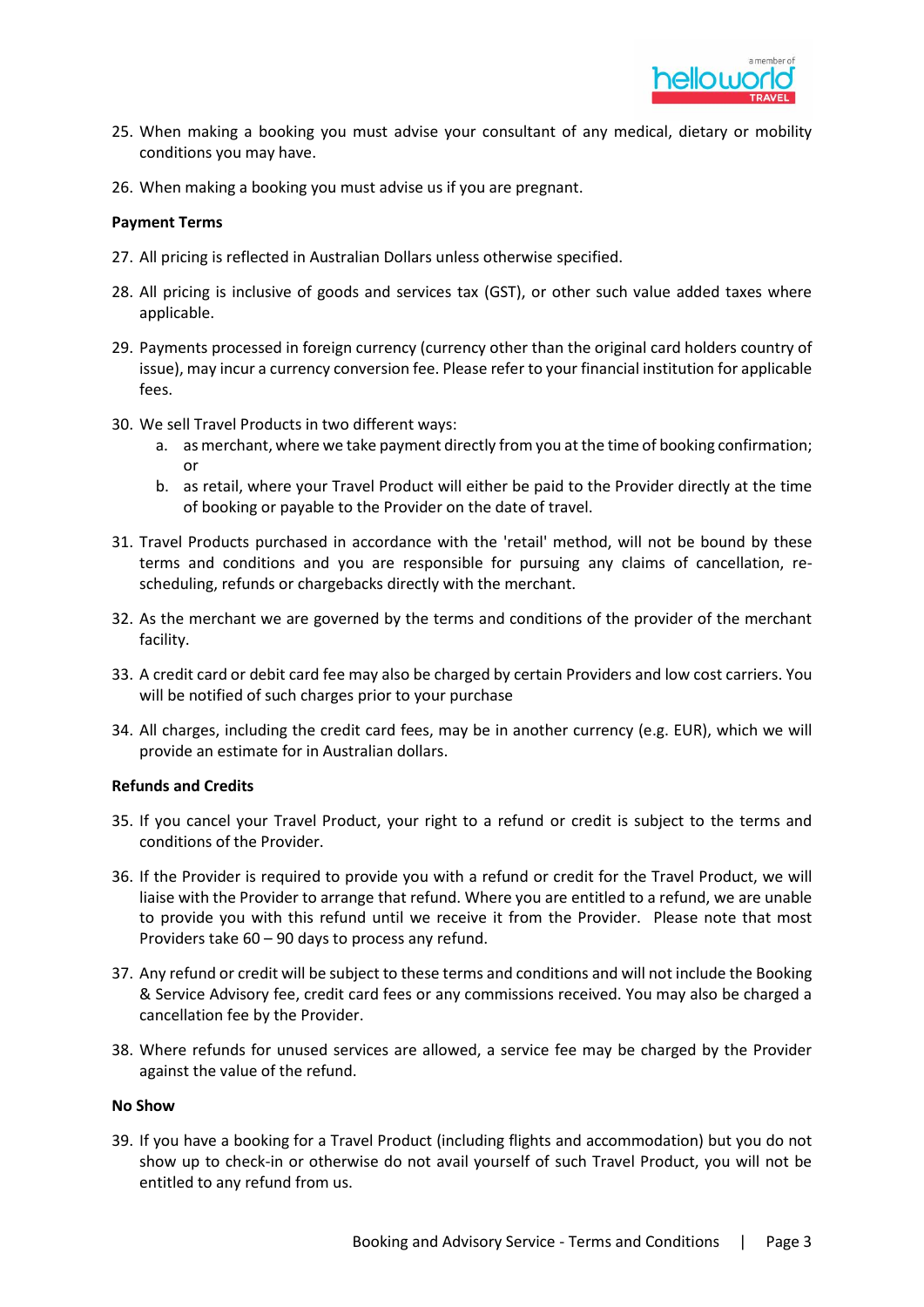

- 25. When making a booking you must advise your consultant of any medical, dietary or mobility conditions you may have.
- 26. When making a booking you must advise us if you are pregnant.

### **Payment Terms**

- 27. All pricing is reflected in Australian Dollars unless otherwise specified.
- 28. All pricing is inclusive of goods and services tax (GST), or other such value added taxes where applicable.
- 29. Payments processed in foreign currency (currency other than the original card holders country of issue), may incur a currency conversion fee. Please refer to your financial institution for applicable fees.
- 30. We sell Travel Products in two different ways:
	- a. as merchant, where we take payment directly from you at the time of booking confirmation; or
	- b. as retail, where your Travel Product will either be paid to the Provider directly at the time of booking or payable to the Provider on the date of travel.
- 31. Travel Products purchased in accordance with the 'retail' method, will not be bound by these terms and conditions and you are responsible for pursuing any claims of cancellation, rescheduling, refunds or chargebacks directly with the merchant.
- 32. As the merchant we are governed by the terms and conditions of the provider of the merchant facility.
- 33. A credit card or debit card fee may also be charged by certain Providers and low cost carriers. You will be notified of such charges prior to your purchase
- 34. All charges, including the credit card fees, may be in another currency (e.g. EUR), which we will provide an estimate for in Australian dollars.

### **Refunds and Credits**

- 35. If you cancel your Travel Product, your right to a refund or credit is subject to the terms and conditions of the Provider.
- 36. If the Provider is required to provide you with a refund or credit for the Travel Product, we will liaise with the Provider to arrange that refund. Where you are entitled to a refund, we are unable to provide you with this refund until we receive it from the Provider. Please note that most Providers take 60 – 90 days to process any refund.
- 37. Any refund or credit will be subject to these terms and conditions and will not include the Booking & Service Advisory fee, credit card fees or any commissions received. You may also be charged a cancellation fee by the Provider.
- 38. Where refunds for unused services are allowed, a service fee may be charged by the Provider against the value of the refund.

### **No Show**

39. If you have a booking for a Travel Product (including flights and accommodation) but you do not show up to check-in or otherwise do not avail yourself of such Travel Product, you will not be entitled to any refund from us.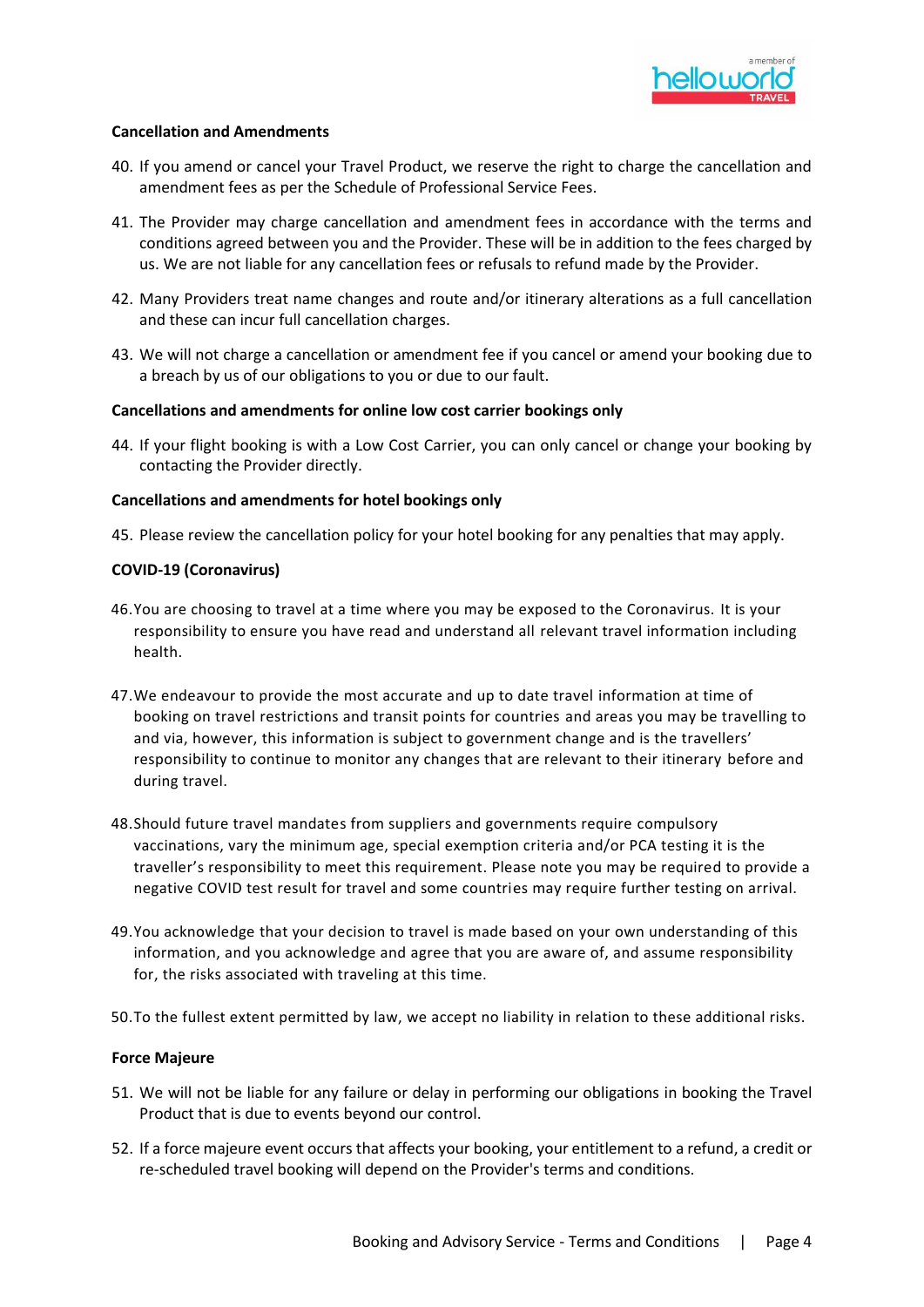

## **Cancellation and Amendments**

- 40. If you amend or cancel your Travel Product, we reserve the right to charge the cancellation and amendment fees as per the Schedule of Professional Service Fees.
- 41. The Provider may charge cancellation and amendment fees in accordance with the terms and conditions agreed between you and the Provider. These will be in addition to the fees charged by us. We are not liable for any cancellation fees or refusals to refund made by the Provider.
- 42. Many Providers treat name changes and route and/or itinerary alterations as a full cancellation and these can incur full cancellation charges.
- 43. We will not charge a cancellation or amendment fee if you cancel or amend your booking due to a breach by us of our obligations to you or due to our fault.

## **Cancellations and amendments for online low cost carrier bookings only**

44. If your flight booking is with a Low Cost Carrier, you can only cancel or change your booking by contacting the Provider directly.

### **Cancellations and amendments for hotel bookings only**

45. Please review the cancellation policy for your hotel booking for any penalties that may apply.

### **COVID-19 (Coronavirus)**

- 46.You are choosing to travel at a time where you may be exposed to the Coronavirus. It is your responsibility to ensure you have read and understand all relevant travel information including health.
- 47.We endeavour to provide the most accurate and up to date travel information at time of booking on travel restrictions and transit points for countries and areas you may be travelling to and via, however, this information is subject to government change and is the travellers' responsibility to continue to monitor any changes that are relevant to their itinerary before and during travel.
- 48.Should future travel mandates from suppliers and governments require compulsory vaccinations, vary the minimum age, special exemption criteria and/or PCA testing it is the traveller's responsibility to meet this requirement. Please note you may be required to provide a negative COVID test result for travel and some countries may require further testing on arrival.
- 49.You acknowledge that your decision to travel is made based on your own understanding of this information, and you acknowledge and agree that you are aware of, and assume responsibility for, the risks associated with traveling at this time.
- 50.To the fullest extent permitted by law, we accept no liability in relation to these additional risks.

### **Force Majeure**

- 51. We will not be liable for any failure or delay in performing our obligations in booking the Travel Product that is due to events beyond our control.
- 52. If a force majeure event occurs that affects your booking, your entitlement to a refund, a credit or re-scheduled travel booking will depend on the Provider's terms and conditions.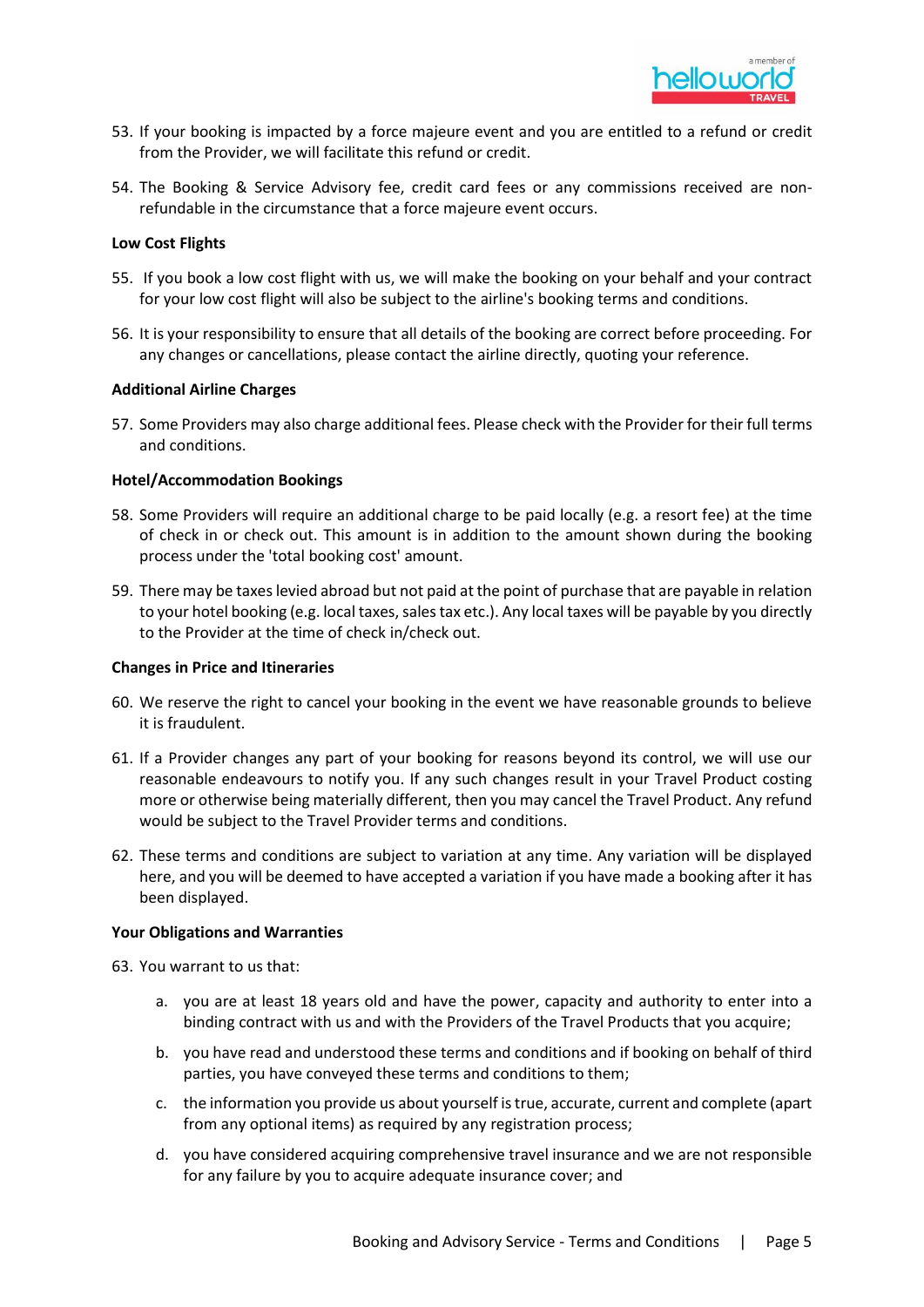

- 53. If your booking is impacted by a force majeure event and you are entitled to a refund or credit from the Provider, we will facilitate this refund or credit.
- 54. The Booking & Service Advisory fee, credit card fees or any commissions received are nonrefundable in the circumstance that a force majeure event occurs.

### **Low Cost Flights**

- 55. If you book a low cost flight with us, we will make the booking on your behalf and your contract for your low cost flight will also be subject to the airline's booking terms and conditions.
- 56. It is your responsibility to ensure that all details of the booking are correct before proceeding. For any changes or cancellations, please contact the airline directly, quoting your reference.

### **Additional Airline Charges**

57. Some Providers may also charge additional fees. Please check with the Provider for their full terms and conditions.

### **Hotel/Accommodation Bookings**

- 58. Some Providers will require an additional charge to be paid locally (e.g. a resort fee) at the time of check in or check out. This amount is in addition to the amount shown during the booking process under the 'total booking cost' amount.
- 59. There may be taxes levied abroad but not paid at the point of purchase that are payable in relation to your hotel booking (e.g. local taxes, sales tax etc.). Any local taxes will be payable by you directly to the Provider at the time of check in/check out.

#### **Changes in Price and Itineraries**

- 60. We reserve the right to cancel your booking in the event we have reasonable grounds to believe it is fraudulent.
- 61. If a Provider changes any part of your booking for reasons beyond its control, we will use our reasonable endeavours to notify you. If any such changes result in your Travel Product costing more or otherwise being materially different, then you may cancel the Travel Product. Any refund would be subject to the Travel Provider terms and conditions.
- 62. These terms and conditions are subject to variation at any time. Any variation will be displayed here, and you will be deemed to have accepted a variation if you have made a booking after it has been displayed.

### **Your Obligations and Warranties**

- 63. You warrant to us that:
	- a. you are at least 18 years old and have the power, capacity and authority to enter into a binding contract with us and with the Providers of the Travel Products that you acquire;
	- b. you have read and understood these terms and conditions and if booking on behalf of third parties, you have conveyed these terms and conditions to them;
	- c. the information you provide us about yourself is true, accurate, current and complete (apart from any optional items) as required by any registration process;
	- d. you have considered acquiring comprehensive travel insurance and we are not responsible for any failure by you to acquire adequate insurance cover; and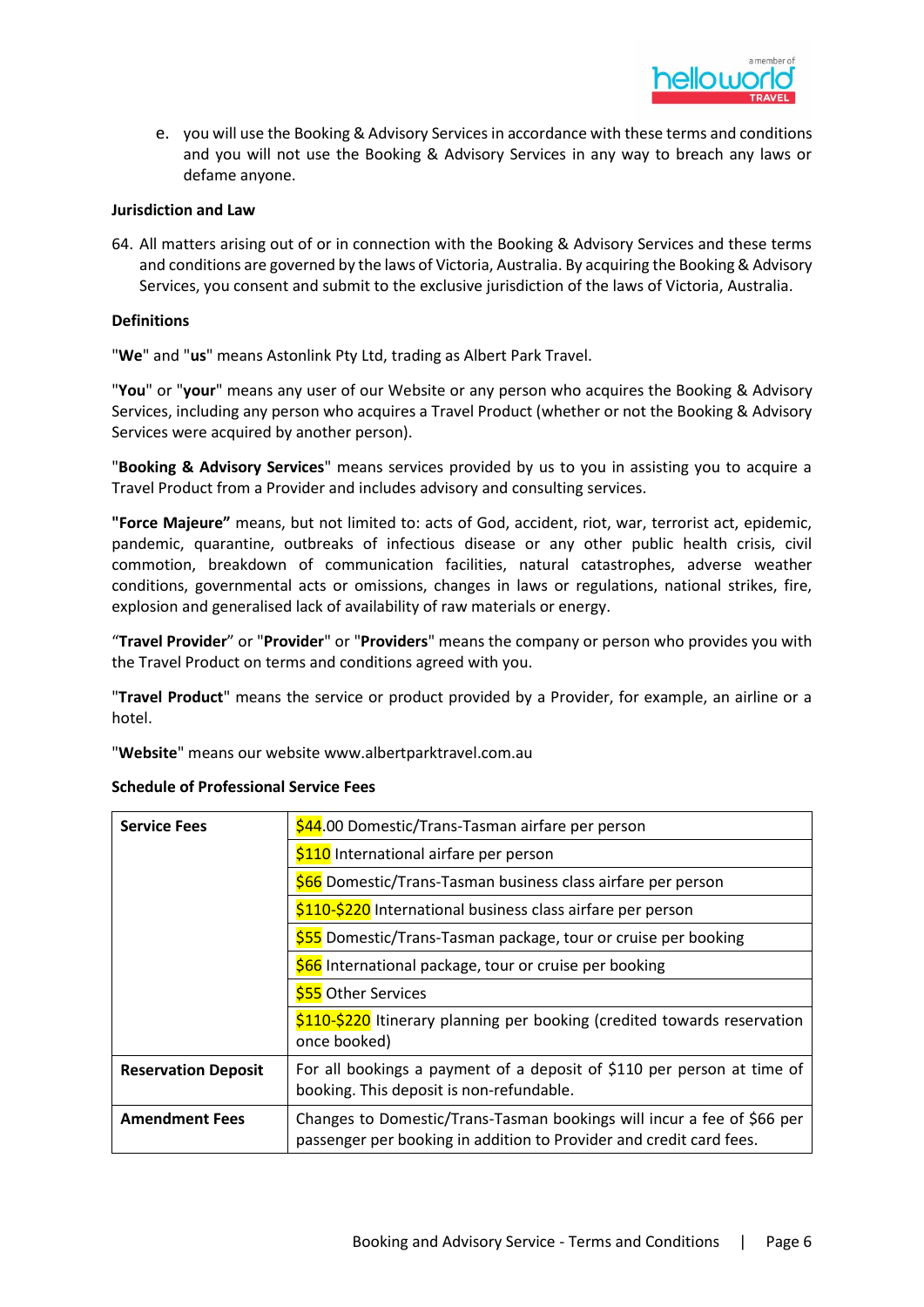

e. you will use the Booking & Advisory Services in accordance with these terms and conditions and you will not use the Booking & Advisory Services in any way to breach any laws or defame anyone.

### **Jurisdiction and Law**

64. All matters arising out of or in connection with the Booking & Advisory Services and these terms and conditions are governed by the laws of Victoria, Australia. By acquiring the Booking & Advisory Services, you consent and submit to the exclusive jurisdiction of the laws of Victoria, Australia.

### **Definitions**

"**We**" and "**us**" means Astonlink Pty Ltd, trading as Albert Park Travel.

"**You**" or "**your**" means any user of our Website or any person who acquires the Booking & Advisory Services, including any person who acquires a Travel Product (whether or not the Booking & Advisory Services were acquired by another person).

"**Booking & Advisory Services**" means services provided by us to you in assisting you to acquire a Travel Product from a Provider and includes advisory and consulting services.

**"Force Majeure"** means, but not limited to: acts of God, accident, riot, war, terrorist act, epidemic, pandemic, quarantine, outbreaks of infectious disease or any other public health crisis, civil commotion, breakdown of communication facilities, natural catastrophes, adverse weather conditions, governmental acts or omissions, changes in laws or regulations, national strikes, fire, explosion and generalised lack of availability of raw materials or energy.

"**Travel Provider**" or "**Provider**" or "**Providers**" means the company or person who provides you with the Travel Product on terms and conditions agreed with you.

"**Travel Product**" means the service or product provided by a Provider, for example, an airline or a hotel.

"**Website**" means our website www.albertparktravel.com.au

| <b>Service Fees</b>        | \$44.00 Domestic/Trans-Tasman airfare per person                                                                                              |
|----------------------------|-----------------------------------------------------------------------------------------------------------------------------------------------|
|                            | \$110 International airfare per person                                                                                                        |
|                            | \$66 Domestic/Trans-Tasman business class airfare per person                                                                                  |
|                            | \$110-\$220 International business class airfare per person                                                                                   |
|                            | \$55 Domestic/Trans-Tasman package, tour or cruise per booking                                                                                |
|                            | \$66 International package, tour or cruise per booking                                                                                        |
|                            | <b>\$55</b> Other Services                                                                                                                    |
|                            | \$110-\$220 Itinerary planning per booking (credited towards reservation<br>once booked)                                                      |
| <b>Reservation Deposit</b> | For all bookings a payment of a deposit of \$110 per person at time of<br>booking. This deposit is non-refundable.                            |
| <b>Amendment Fees</b>      | Changes to Domestic/Trans-Tasman bookings will incur a fee of \$66 per<br>passenger per booking in addition to Provider and credit card fees. |

## **Schedule of Professional Service Fees**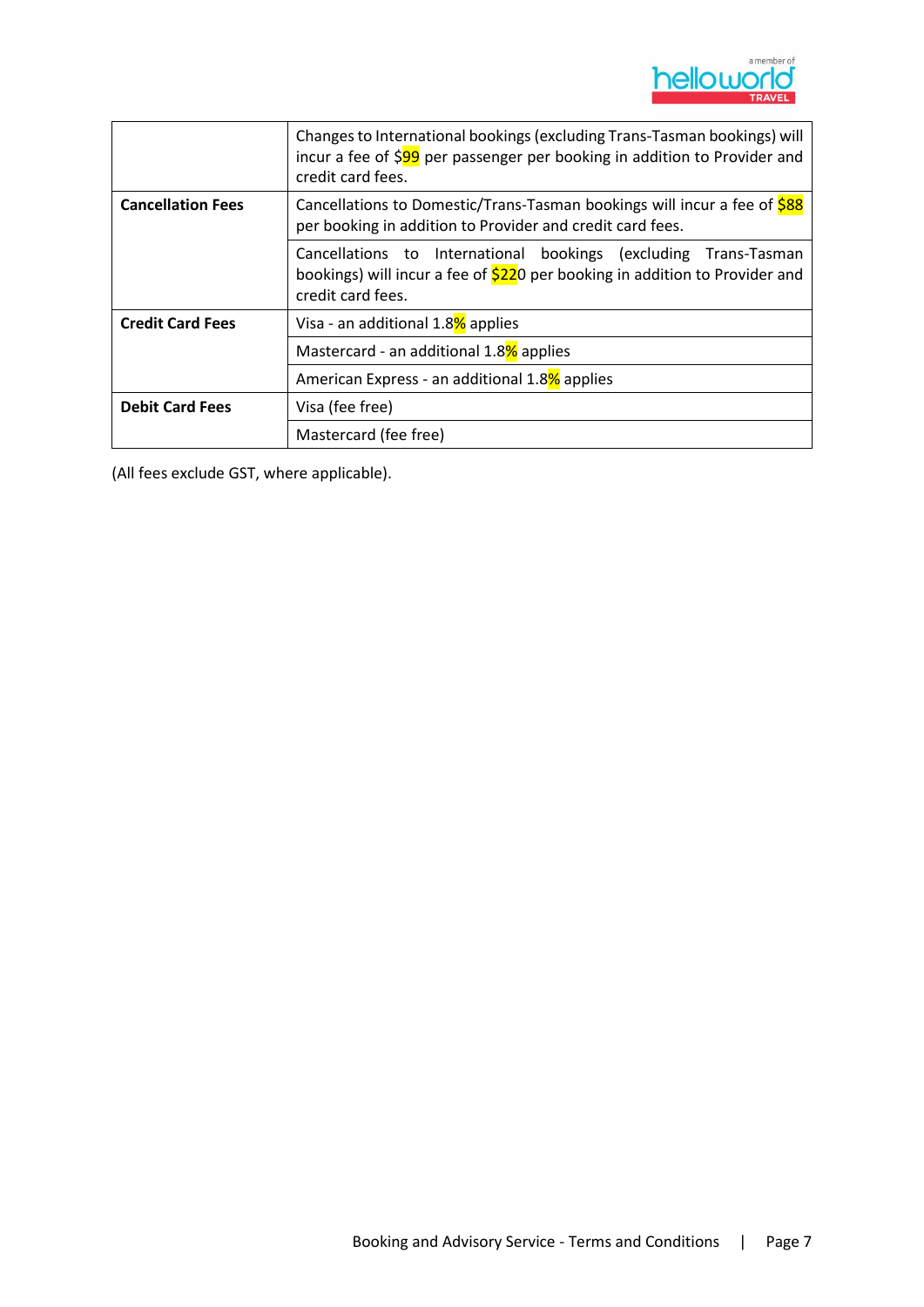

|                          | Changes to International bookings (excluding Trans-Tasman bookings) will<br>incur a fee of \$99 per passenger per booking in addition to Provider and<br>credit card fees. |
|--------------------------|----------------------------------------------------------------------------------------------------------------------------------------------------------------------------|
| <b>Cancellation Fees</b> | Cancellations to Domestic/Trans-Tasman bookings will incur a fee of \$88<br>per booking in addition to Provider and credit card fees.                                      |
|                          | Cancellations to International bookings (excluding Trans-Tasman<br>bookings) will incur a fee of \$220 per booking in addition to Provider and<br>credit card fees.        |
| <b>Credit Card Fees</b>  | Visa - an additional 1.8% applies                                                                                                                                          |
|                          | Mastercard - an additional 1.8% applies                                                                                                                                    |
|                          | American Express - an additional 1.8% applies                                                                                                                              |
| <b>Debit Card Fees</b>   | Visa (fee free)                                                                                                                                                            |
|                          | Mastercard (fee free)                                                                                                                                                      |

(All fees exclude GST, where applicable).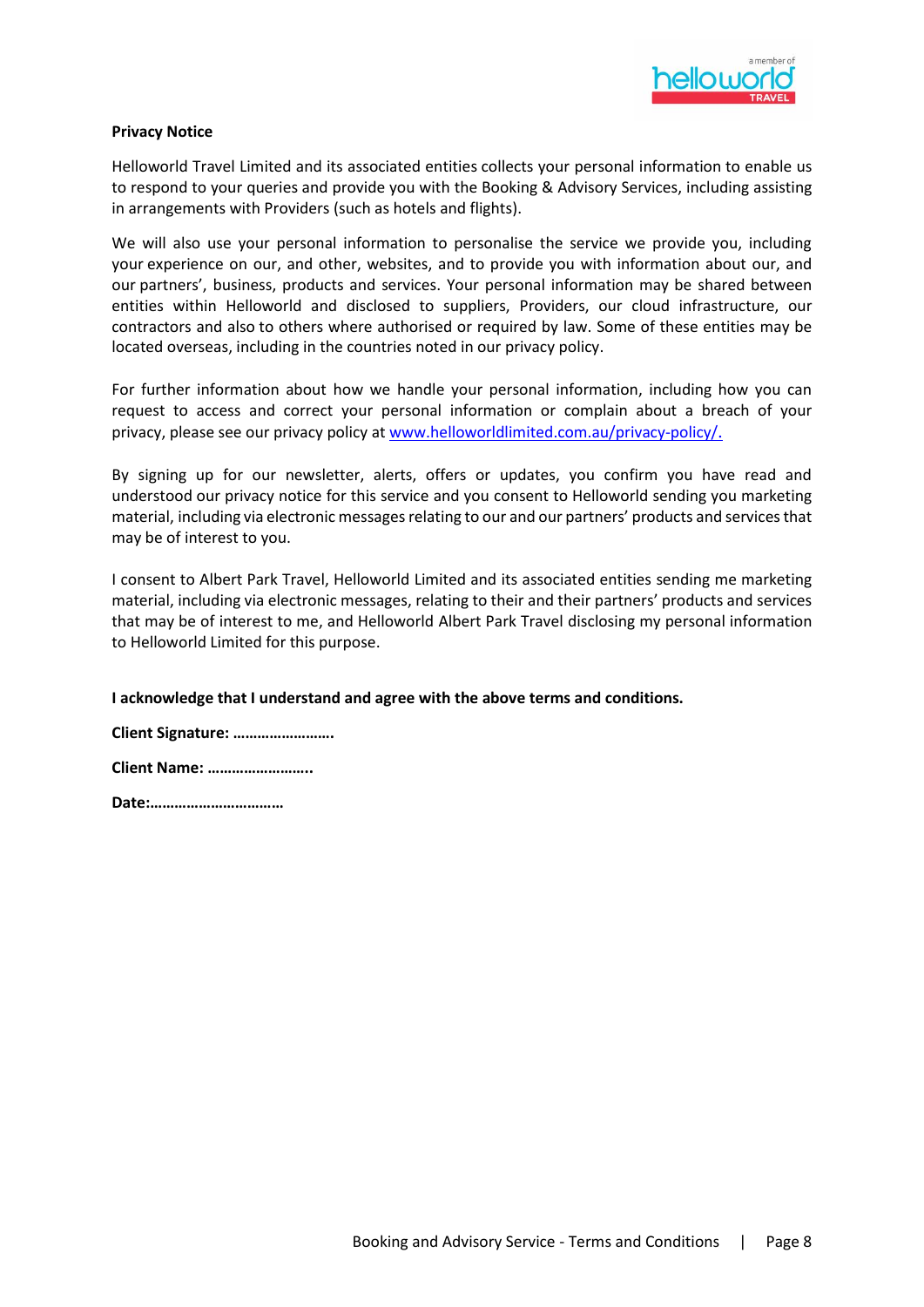

### **Privacy Notice**

Helloworld Travel Limited and its associated entities collects your personal information to enable us to respond to your queries and provide you with the Booking & Advisory Services, including assisting in arrangements with Providers (such as hotels and flights).

We will also use your personal information to personalise the service we provide you, including your experience on our, and other, websites, and to provide you with information about our, and our partners', business, products and services. Your personal information may be shared between entities within Helloworld and disclosed to suppliers, Providers, our cloud infrastructure, our contractors and also to others where authorised or required by law. Some of these entities may be located overseas, including in the countries noted in our privacy policy.

For further information about how we handle your personal information, including how you can request to access and correct your personal information or complain about a breach of your privacy, please see our privacy policy at [www.helloworldlimited.com.au](http://www.helloworldlimited.com.au/)[/privacy-policy/](https://policies.helloworldlimited.com.au/privacy-policy/).

By signing up for our newsletter, alerts, offers or updates, you confirm you have read and understood our privacy notice for this service and you consent to Helloworld sending you marketing material, including via electronic messages relating to our and our partners' products and services that may be of interest to you.

I consent to Albert Park Travel, Helloworld Limited and its associated entities sending me marketing material, including via electronic messages, relating to their and their partners' products and services that may be of interest to me, and Helloworld Albert Park Travel disclosing my personal information to Helloworld Limited for this purpose.

### **I acknowledge that I understand and agree with the above terms and conditions.**

| Client Signature:    |
|----------------------|
| <b>Client Name: </b> |

**Date:……………………………**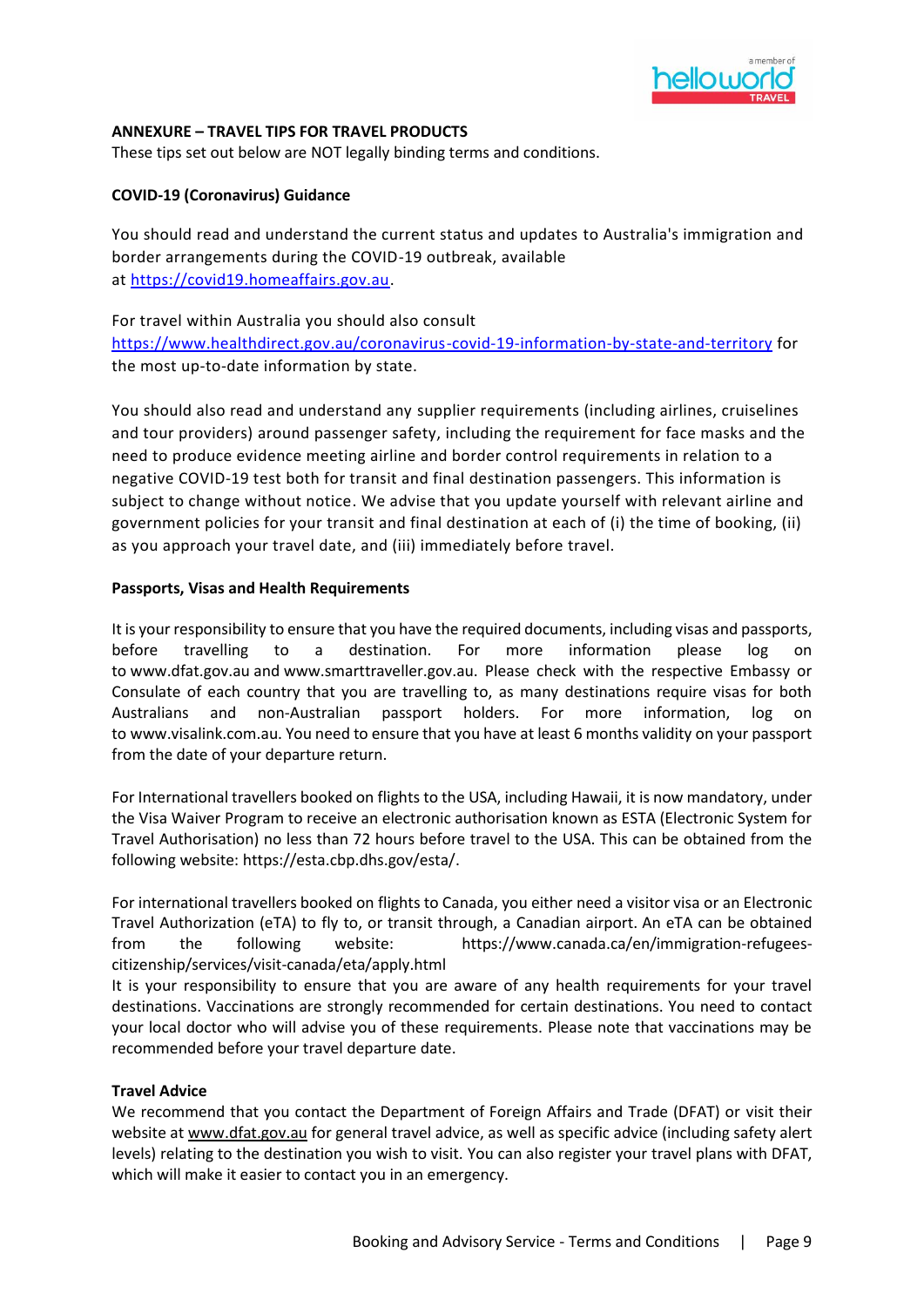

## **ANNEXURE – TRAVEL TIPS FOR TRAVEL PRODUCTS**

These tips set out below are NOT legally binding terms and conditions.

# **COVID-19 (Coronavirus) Guidance**

You should read and understand the current status and updates to Australia's immigration and border arrangements during the COVID-19 outbreak, available at [https://covid19.homeaffairs.gov.au.](https://covid19.homeaffairs.gov.au/)

For travel within Australia you should also consult

<https://www.healthdirect.gov.au/coronavirus-covid-19-information-by-state-and-territory> for the most up-to-date information by state.

You should also read and understand any supplier requirements (including airlines, cruiselines and tour providers) around passenger safety, including the requirement for face masks and the need to produce evidence meeting airline and border control requirements in relation to a negative COVID-19 test both for transit and final destination passengers. This information is subject to change without notice. We advise that you update yourself with relevant airline and government policies for your transit and final destination at each of (i) the time of booking, (ii) as you approach your travel date, and (iii) immediately before travel.

## **Passports, Visas and Health Requirements**

It is your responsibility to ensure that you have the required documents, including visas and passports, before travelling to a destination. For more information please log on to [www.dfat.gov.au](http://www.dfat.gov.au/) and [www.smarttraveller.gov.au.](http://www.smarttraveller.gov.au/) Please check with the respective Embassy or Consulate of each country that you are travelling to, as many destinations require visas for both Australians and non-Australian passport holders. For more information, log on to [www.visalink.com.au.](http://www.visalink.com.au/) You need to ensure that you have at least 6 months validity on your passport from the date of your departure return.

For International travellers booked on flights to the USA, including Hawaii, it is now mandatory, under the Visa Waiver Program to receive an electronic authorisation known as ESTA (Electronic System for Travel Authorisation) no less than 72 hours before travel to the USA. This can be obtained from the following website: [https://esta.cbp.dhs.gov/esta/.](https://esta.cbp.dhs.gov/esta/)

For international travellers booked on flights to Canada, you either need a visitor visa or an Electronic Travel Authorization (eTA) to fly to, or transit through, a Canadian airport. An eTA can be obtained from the following website: [https://www.canada.ca/en/immigration-refugees](https://www.canada.ca/en/immigration-refugees-citizenship/services/visit-canada/eta/apply.html)[citizenship/services/visit-canada/eta/apply.html](https://www.canada.ca/en/immigration-refugees-citizenship/services/visit-canada/eta/apply.html)

It is your responsibility to ensure that you are aware of any health requirements for your travel destinations. Vaccinations are strongly recommended for certain destinations. You need to contact your local doctor who will advise you of these requirements. Please note that vaccinations may be recommended before your travel departure date.

## **Travel Advice**

We recommend that you contact the Department of Foreign Affairs and Trade (DFAT) or visit their website at [www.dfat.gov.au](http://www.dfat.gov.au/) for general travel advice, as well as specific advice (including safety alert levels) relating to the destination you wish to visit. You can also register your travel plans with DFAT, which will make it easier to contact you in an emergency.